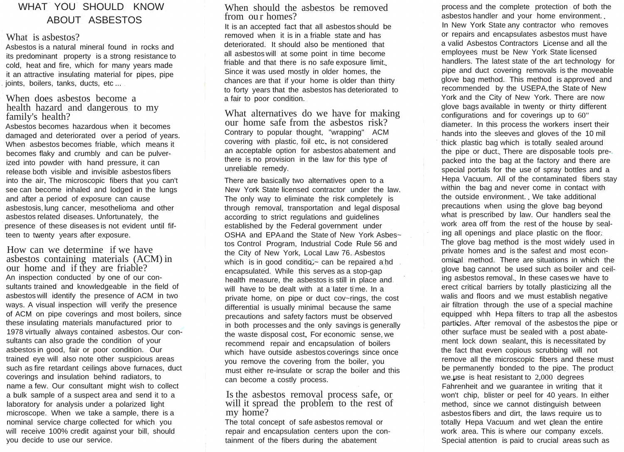# WHAT YOU SHOULD KNOW ABOUT ASBESTOS

#### What is asbestos?

Asbestos is a natural mineral found in rocks and its predominant property is a strong resistance to cold, heat and fire, which for many years made it an attractive insulating material for pipes, pipe joints, boilers, tanks, ducts, etc...

## When does asbestos become a health hazard and dangerous to my family's health?

Asbestos becomes hazardous when it becomes damaged and deteriorated over a period of years. When asbestos becomes friable, which means it becomes flaky and crumbly and can be pulverized into powder with hand pressure, it can release both visible and invisible asbestos fibers into the air. The microscopic fibers that you can't see can become inhaled and lodged in the lungs and after a period of exposure can cause asbestosis, lung cancer, mesothelioma and other asbestos related diseases. Unfortunately, the presence of these diseases is not evident until fifteen to twenty years after exposure.

How can we determine if we have asbestos containing materials (ACM) in our home and if they are friable? An inspection conducted by one of our consultants trained and knowledgeable in the field of asbestos will identify the presence of ACM in two ways. A visual inspection will verify the presence of ACM on pipe coverings and most boilers, since these insulating materials manufactured prior to 1978 virtually always contained asbestos. Our consultants can also grade the condition of your asbestos in good, fair or poor condition. Our trained eye will also note other suspicious areas such as fire retardant ceilings above furnaces, duct coverings and insulation behind radiators, to name a few. Our consultant might wish to collect a bulk sample of a suspect area and send it to a laboratory for analysis under a polarized light microscope. When we take a sample, there is a nominal service charge collected for which you will receive 100% credit against your bill, should you decide to use our service.

## When should the asbestos be removed from our homes?

It is an accepted fact that all asbestos should be removed when it is in a friable state and has deteriorated. It should also be mentioned that all asbestos will at some point in time become friable and that there is no safe exposure limit. Since it was used mostly in older homes, the chances are that if your home is older than thirty to forty years that the asbestos has deteriorated to a fair to poor condition.

What alternatives do we have for making our home safe from the asbestos risk? Contrary to popular thought, "wrapping" ACM covering with plastic, foil etc. is not considered an acceptable option for asbestos abatement and there is no provision in the law for this type of unreliable remedy.

There are basically two alternatives open to a New York State licensed contractor under the law. The only way to eliminate the risk completely is through removal, transportation and legal disposal according to strict regulations and guidelines established by the Federal government under OSHA and EPAand the State of New York Asbes~ tos Control Program, Industrial Code Rule 56 and the City of New York, Local Law 76..Asbestos which is in good conditiou- can be repaired a hd encapsulated. While this serves as a stop-gap health measure, the asbestos is still in place and. will have to be dealt with at a'Iater ti'me. In a private home, on pipe or duct cov~rings, the cost differential is usually minimal because the same precautions and safety factors must be observed in both processes and the only savings is generally the waste disposal cost. For economic sense, we recommend repair and encapsulation of boilers which have outside asbestos coverings since once you remove the covering from the boiler, you must either re-insulate or scrap the boiler and this can become a costly process.

## Is the asbestos removal process safe, or will it spread the problem to the rest of my home?

The total concept of safe asbestos removal or repair and encapsulation centers upon the containment of the fibers during the abatement

process and the complete protection of both the asbestos handler and your home environment. In New York State any contractor who removes or repairs and encapsulates asbestos must have a valid Asbestos Contractors License and all the employees must be New York State licensed handlers. The latest state of the art technology for pipe and duct covering removals is the moveable glove bag method. This method is approved and recommended by the USEPA,the State of New York and the City of New York. There are now glove bags available in twenty or thirty different configurations and for coverings up to 60" diameter. In this process the workers insert their hands into the sleeves and gloves of the 10 mil thick plastic bag which is totally sealed around the pipe or duct. There are disposable tools prepacked into the bag at the factory and there are special portals for the use of spray bottles and a Hepa Vacuum. All of the contaminated fibers stay within the bag and never come in contact with the outside environment. We take additional precautions when using the glove bag beyond what is prescribed by law. Our handlers seal the work area off from the rest of the house by sealing all openings and place plastic on the floor. The glove bag method is the most widely used in private homes and is the safest and most economical method. There are situations in which the glove bag cannot be used such as boiler and ceiling asbestos removal. In these cases we have to erect critical barriers by totally plasticizing all the walis and floors and we must establish negative air filtration through the use of a special machine equipped whh Hepa filters to trap all the asbestos particles. After removal of the asbestos the pipe or other surface must be sealed with a post abatement lock down sealant. this is necessitated by the fact that even copious scrubbing will not remove all the microscopic fibers and these must be permanently bonded to the pipe. The product we.use is heat resistant to 2,000 degrees Fahrenheit and we guarantee in writing that it won't chip, blister or peel for 40 years. In either method, since we cannot distinguish between asbestos fibers and dirt, the laws require us to totally Hepa Vacuum and wet clean the entire work area. This is where our company excels. Special attention is paid to crucial areas such as